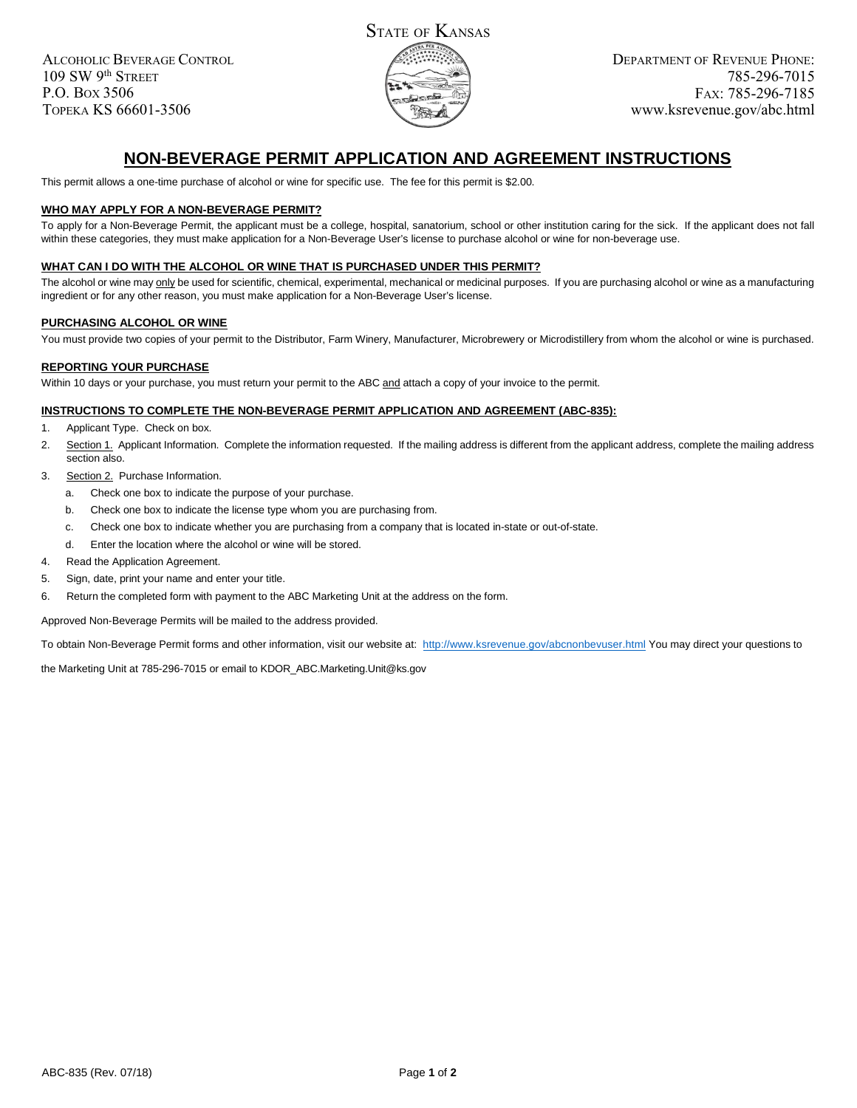ALCOHOLIC BEVERAGE CONTROL 109 SW 9th STREET P.O. BOX 3506 TOPEKA KS 66601-3506



# **NON-BEVERAGE PERMIT APPLICATION AND AGREEMENT INSTRUCTIONS**

This permit allows a one-time purchase of alcohol or wine for specific use. The fee for this permit is \$2.00.

# **WHO MAY APPLY FOR A NON-BEVERAGE PERMIT?**

To apply for a Non-Beverage Permit, the applicant must be a college, hospital, sanatorium, school or other institution caring for the sick. If the applicant does not fall within these categories, they must make application for a Non-Beverage User's license to purchase alcohol or wine for non-beverage use.

### **WHAT CAN I DO WITH THE ALCOHOL OR WINE THAT IS PURCHASED UNDER THIS PERMIT?**

The alcohol or wine may only be used for scientific, chemical, experimental, mechanical or medicinal purposes. If you are purchasing alcohol or wine as a manufacturing ingredient or for any other reason, you must make application for a Non-Beverage User's license.

### **PURCHASING ALCOHOL OR WINE**

You must provide two copies of your permit to the Distributor, Farm Winery, Manufacturer, Microbrewery or Microdistillery from whom the alcohol or wine is purchased.

# **REPORTING YOUR PURCHASE**

Within 10 days or your purchase, you must return your permit to the ABC and attach a copy of your invoice to the permit.

### **INSTRUCTIONS TO COMPLETE THE NON-BEVERAGE PERMIT APPLICATION AND AGREEMENT (ABC-835):**

- 1. Applicant Type. Check on box.
- 2. Section 1. Applicant Information. Complete the information requested. If the mailing address is different from the applicant address, complete the mailing address section also.
- 3. Section 2. Purchase Information.
	- a. Check one box to indicate the purpose of your purchase.
	- b. Check one box to indicate the license type whom you are purchasing from.
	- c. Check one box to indicate whether you are purchasing from a company that is located in-state or out-of-state.
	- d. Enter the location where the alcohol or wine will be stored.
- 4. Read the Application Agreement.
- 5. Sign, date, print your name and enter your title.
- 6. Return the completed form with payment to the ABC Marketing Unit at the address on the form.

Approved Non-Beverage Permits will be mailed to the address provided.

To obtain Non-Beverage Permit forms and other information, visit our website at: http://www.ksrevenue.gov/abcnonbevuser.html You may direct your questions to

the Marketing Unit at 785-296-7015 or email to KDOR\_ABC.Marketing.Unit@ks.gov